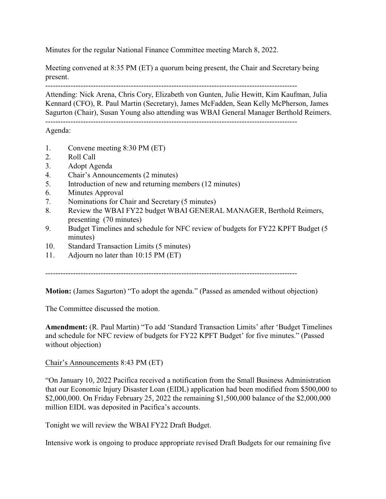Minutes for the regular National Finance Committee meeting March 8, 2022.

Meeting convened at 8:35 PM (ET) a quorum being present, the Chair and Secretary being present.

----------------------------------------------------------------------------------------------------

Attending: Nick Arena, Chris Cory, Elizabeth von Gunten, Julie Hewitt, Kim Kaufman, Julia Kennard (CFO), R. Paul Martin (Secretary), James McFadden, Sean Kelly McPherson, James Sagurton (Chair), Susan Young also attending was WBAI General Manager Berthold Reimers.

Agenda:

- 1. Convene meeting 8:30 PM (ET)
- 2. Roll Call
- 3. Adopt Agenda
- 4. Chair's Announcements (2 minutes)
- 5. Introduction of new and returning members (12 minutes)
- 6. Minutes Approval
- 7. Nominations for Chair and Secretary (5 minutes)
- 8. Review the WBAI FY22 budget WBAI GENERAL MANAGER, Berthold Reimers, presenting (70 minutes)
- 9. Budget Timelines and schedule for NFC review of budgets for FY22 KPFT Budget (5 minutes)
- 10. Standard Transaction Limits (5 minutes)
- 11. Adjourn no later than 10:15 PM (ET)

----------------------------------------------------------------------------------------------------

**Motion:** (James Sagurton) "To adopt the agenda." (Passed as amended without objection)

The Committee discussed the motion.

**Amendment:** (R. Paul Martin) "To add 'Standard Transaction Limits' after 'Budget Timelines and schedule for NFC review of budgets for FY22 KPFT Budget' for five minutes." (Passed without objection)

Chair's Announcements 8:43 PM (ET)

"On January 10, 2022 Pacifica received a notification from the Small Business Administration that our Economic Injury Disaster Loan (EIDL) application had been modified from \$500,000 to \$2,000,000. On Friday February 25, 2022 the remaining \$1,500,000 balance of the \$2,000,000 million EIDL was deposited in Pacifica's accounts.

Tonight we will review the WBAI FY22 Draft Budget.

Intensive work is ongoing to produce appropriate revised Draft Budgets for our remaining five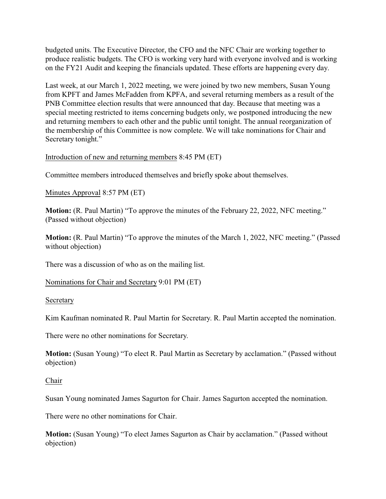budgeted units. The Executive Director, the CFO and the NFC Chair are working together to produce realistic budgets. The CFO is working very hard with everyone involved and is working on the FY21 Audit and keeping the financials updated. These efforts are happening every day.

Last week, at our March 1, 2022 meeting, we were joined by two new members, Susan Young from KPFT and James McFadden from KPFA, and several returning members as a result of the PNB Committee election results that were announced that day. Because that meeting was a special meeting restricted to items concerning budgets only, we postponed introducing the new and returning members to each other and the public until tonight. The annual reorganization of the membership of this Committee is now complete. We will take nominations for Chair and Secretary tonight."

Introduction of new and returning members 8:45 PM (ET)

Committee members introduced themselves and briefly spoke about themselves.

Minutes Approval 8:57 PM (ET)

**Motion:** (R. Paul Martin) "To approve the minutes of the February 22, 2022, NFC meeting." (Passed without objection)

**Motion:** (R. Paul Martin) "To approve the minutes of the March 1, 2022, NFC meeting." (Passed without objection)

There was a discussion of who as on the mailing list.

Nominations for Chair and Secretary 9:01 PM (ET)

Secretary

Kim Kaufman nominated R. Paul Martin for Secretary. R. Paul Martin accepted the nomination.

There were no other nominations for Secretary.

**Motion:** (Susan Young) "To elect R. Paul Martin as Secretary by acclamation." (Passed without objection)

## Chair

Susan Young nominated James Sagurton for Chair. James Sagurton accepted the nomination.

There were no other nominations for Chair.

**Motion:** (Susan Young) "To elect James Sagurton as Chair by acclamation." (Passed without objection)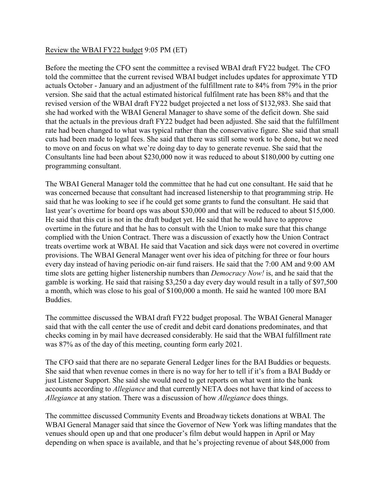## Review the WBAI FY22 budget 9:05 PM (ET)

Before the meeting the CFO sent the committee a revised WBAI draft FY22 budget. The CFO told the committee that the current revised WBAI budget includes updates for approximate YTD actuals October - January and an adjustment of the fulfillment rate to 84% from 79% in the prior version. She said that the actual estimated historical fulfilment rate has been 88% and that the revised version of the WBAI draft FY22 budget projected a net loss of \$132,983. She said that she had worked with the WBAI General Manager to shave some of the deficit down. She said that the actuals in the previous draft FY22 budget had been adjusted. She said that the fulfillment rate had been changed to what was typical rather than the conservative figure. She said that small cuts had been made to legal fees. She said that there was still some work to be done, but we need to move on and focus on what we're doing day to day to generate revenue. She said that the Consultants line had been about \$230,000 now it was reduced to about \$180,000 by cutting one programming consultant.

The WBAI General Manager told the committee that he had cut one consultant. He said that he was concerned because that consultant had increased listenership to that programming strip. He said that he was looking to see if he could get some grants to fund the consultant. He said that last year's overtime for board ops was about \$30,000 and that will be reduced to about \$15,000. He said that this cut is not in the draft budget yet. He said that he would have to approve overtime in the future and that he has to consult with the Union to make sure that this change complied with the Union Contract. There was a discussion of exactly how the Union Contract treats overtime work at WBAI. He said that Vacation and sick days were not covered in overtime provisions. The WBAI General Manager went over his idea of pitching for three or four hours every day instead of having periodic on-air fund raisers. He said that the 7:00 AM and 9:00 AM time slots are getting higher listenership numbers than *Democracy Now!* is, and he said that the gamble is working. He said that raising \$3,250 a day every day would result in a tally of \$97,500 a month, which was close to his goal of \$100,000 a month. He said he wanted 100 more BAI Buddies.

The committee discussed the WBAI draft FY22 budget proposal. The WBAI General Manager said that with the call center the use of credit and debit card donations predominates, and that checks coming in by mail have decreased considerably. He said that the WBAI fulfillment rate was 87% as of the day of this meeting, counting form early 2021.

The CFO said that there are no separate General Ledger lines for the BAI Buddies or bequests. She said that when revenue comes in there is no way for her to tell if it's from a BAI Buddy or just Listener Support. She said she would need to get reports on what went into the bank accounts according to *Allegiance* and that currently NETA does not have that kind of access to *Allegiance* at any station. There was a discussion of how *Allegiance* does things.

The committee discussed Community Events and Broadway tickets donations at WBAI. The WBAI General Manager said that since the Governor of New York was lifting mandates that the venues should open up and that one producer's film debut would happen in April or May depending on when space is available, and that he's projecting revenue of about \$48,000 from